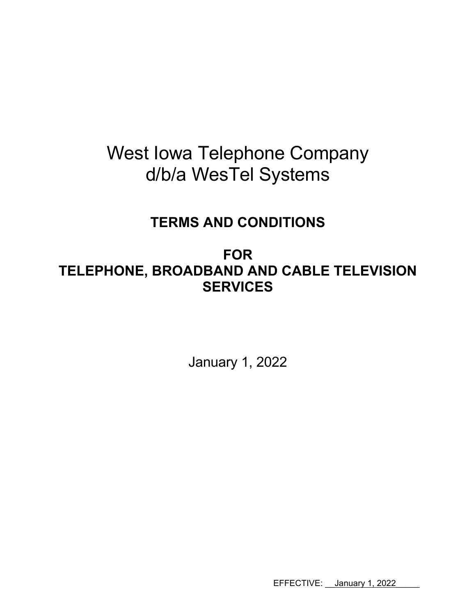# West Iowa Telephone Company d/b/a WesTel Systems

# **TERMS AND CONDITIONS**

**FOR TELEPHONE, BROADBAND AND CABLE TELEVISION SERVICES** 

January 1, 2022

EFFECTIVE: <u>January 1, 2022</u>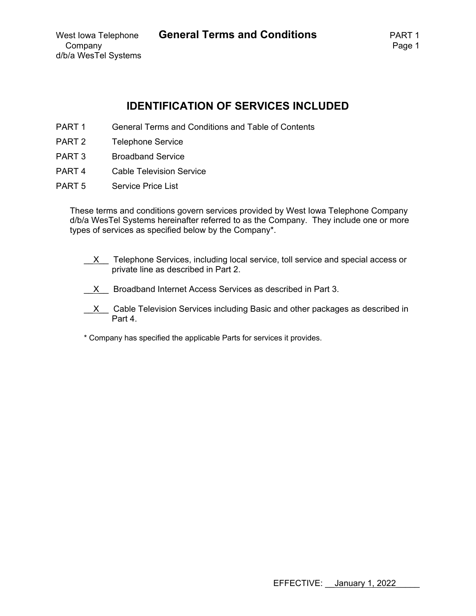# **IDENTIFICATION OF SERVICES INCLUDED**

- PART 1 General Terms and Conditions and Table of Contents
- PART 2 Telephone Service
- PART 3 Broadband Service
- PART 4 Cable Television Service
- PART 5 Service Price List

These terms and conditions govern services provided by West Iowa Telephone Company d/b/a WesTel Systems hereinafter referred to as the Company. They include one or more types of services as specified below by the Company\*.

- $X$  Telephone Services, including local service, toll service and special access or private line as described in Part 2.
- X Broadband Internet Access Services as described in Part 3.
- $X$  Cable Television Services including Basic and other packages as described in Part 4.
- \* Company has specified the applicable Parts for services it provides.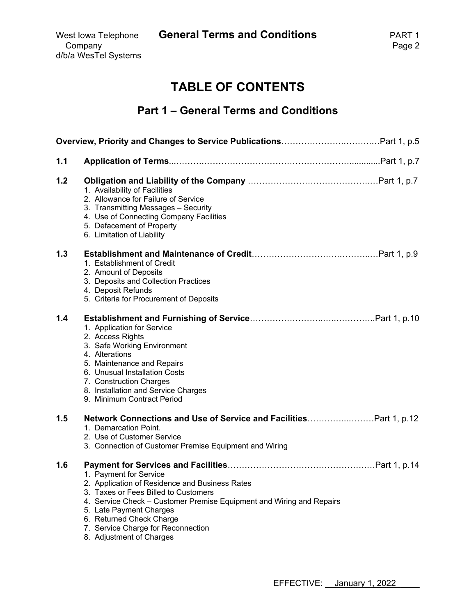West Iowa Telephone **General Terms and Conditions** PART 1

# **TABLE OF CONTENTS**

# **Part 1 – General Terms and Conditions**

| 1.1 |                                                                                                                                                                                                                                                                                                                   |
|-----|-------------------------------------------------------------------------------------------------------------------------------------------------------------------------------------------------------------------------------------------------------------------------------------------------------------------|
| 1.2 | 1. Availability of Facilities<br>2. Allowance for Failure of Service<br>3. Transmitting Messages - Security<br>4. Use of Connecting Company Facilities<br>5. Defacement of Property<br>6. Limitation of Liability                                                                                                 |
| 1.3 | 1. Establishment of Credit<br>2. Amount of Deposits<br>3. Deposits and Collection Practices<br>4. Deposit Refunds<br>5. Criteria for Procurement of Deposits                                                                                                                                                      |
| 1.4 | 1. Application for Service<br>2. Access Rights<br>3. Safe Working Environment<br>4. Alterations<br>5. Maintenance and Repairs<br>6. Unusual Installation Costs<br>7. Construction Charges<br>8. Installation and Service Charges<br>9. Minimum Contract Period                                                    |
| 1.5 | Network Connections and Use of Service and FacilitiesPart 1, p.12<br>1. Demarcation Point.<br>2. Use of Customer Service<br>3. Connection of Customer Premise Equipment and Wiring                                                                                                                                |
| 1.6 | 1. Payment for Service<br>2. Application of Residence and Business Rates<br>3. Taxes or Fees Billed to Customers<br>4. Service Check - Customer Premise Equipment and Wiring and Repairs<br>5. Late Payment Charges<br>6. Returned Check Charge<br>7. Service Charge for Reconnection<br>8. Adjustment of Charges |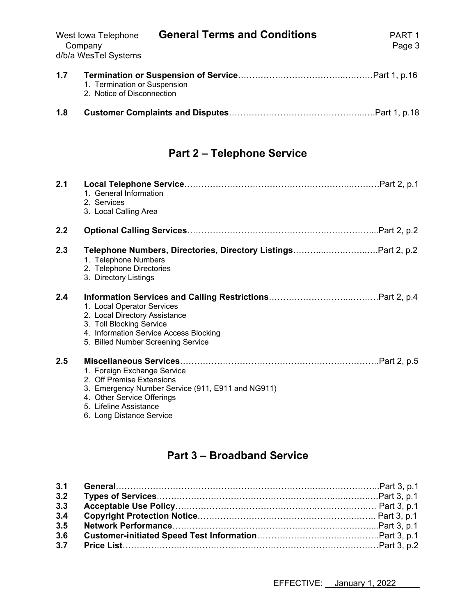| Company<br>d/b/a WesTel Systems                                   | Page 3 |
|-------------------------------------------------------------------|--------|
| 1.7<br>1. Termination or Suspension<br>2. Notice of Disconnection |        |

# **1.8 Customer Complaints and Disputes**………………………………………...….Part 1, p.18

# **Part 2 – Telephone Service**

| 2.1 | 1. General Information<br>2. Services<br>3. Local Calling Area                                                                                                                                    |
|-----|---------------------------------------------------------------------------------------------------------------------------------------------------------------------------------------------------|
| 2.2 |                                                                                                                                                                                                   |
| 2.3 | Telephone Numbers, Directories, Directory ListingsPart 2, p.2<br>1. Telephone Numbers<br>2. Telephone Directories<br>3. Directory Listings                                                        |
| 2.4 | 1. Local Operator Services<br>2. Local Directory Assistance<br>3. Toll Blocking Service<br>4. Information Service Access Blocking<br>5. Billed Number Screening Service                           |
| 2.5 | 1. Foreign Exchange Service<br>2. Off Premise Extensions<br>3. Emergency Number Service (911, E911 and NG911)<br>4. Other Service Offerings<br>5. Lifeline Assistance<br>6. Long Distance Service |

# **Part 3 – Broadband Service**

| 3.2 |  |
|-----|--|
| 3.3 |  |
| 3.4 |  |
| 3.5 |  |
| 3.6 |  |
|     |  |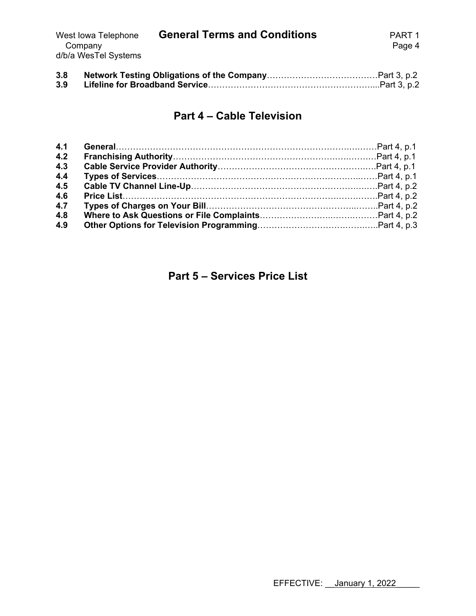| West lowa Telephone  | <b>General Terms and Conditions</b> | PART 1 |
|----------------------|-------------------------------------|--------|
| Company              |                                     | Page 4 |
| d/b/a WesTel Systems |                                     |        |

| 3.8 |  |
|-----|--|
| 3.9 |  |

# **Part 4 – Cable Television**

| 4.1 |  |
|-----|--|
| 4.2 |  |
| 4.3 |  |
| 4.4 |  |
| 4.5 |  |
| 4.6 |  |
| 4.7 |  |
| 4.8 |  |
| 4.9 |  |

# **Part 5 – Services Price List**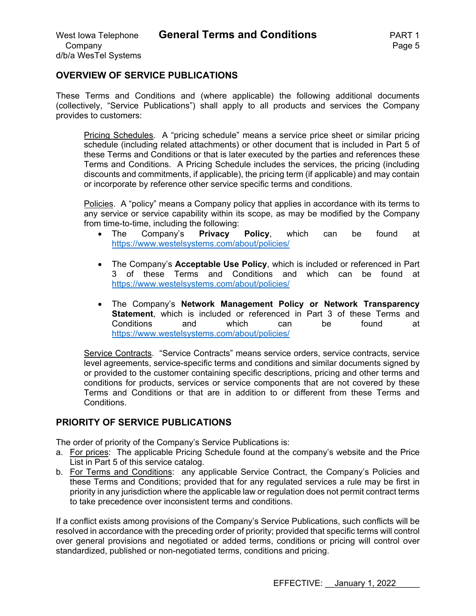### **OVERVIEW OF SERVICE PUBLICATIONS**

These Terms and Conditions and (where applicable) the following additional documents (collectively, "Service Publications") shall apply to all products and services the Company provides to customers:

Pricing Schedules. A "pricing schedule" means a service price sheet or similar pricing schedule (including related attachments) or other document that is included in Part 5 of these Terms and Conditions or that is later executed by the parties and references these Terms and Conditions. A Pricing Schedule includes the services, the pricing (including discounts and commitments, if applicable), the pricing term (if applicable) and may contain or incorporate by reference other service specific terms and conditions.

Policies. A "policy" means a Company policy that applies in accordance with its terms to any service or service capability within its scope, as may be modified by the Company from time-to-time, including the following:

- The Company's **Privacy Policy**, which can be found at https://www.westelsystems.com/about/policies/
- The Company's **Acceptable Use Policy**, which is included or referenced in Part 3 of these Terms and Conditions and which can be found at https://www.westelsystems.com/about/policies/
- The Company's **Network Management Policy or Network Transparency Statement**, which is included or referenced in Part 3 of these Terms and Conditions and which can be found at https://www.westelsystems.com/about/policies/

Service Contracts. "Service Contracts" means service orders, service contracts, service level agreements, service-specific terms and conditions and similar documents signed by or provided to the customer containing specific descriptions, pricing and other terms and conditions for products, services or service components that are not covered by these Terms and Conditions or that are in addition to or different from these Terms and Conditions.

# **PRIORITY OF SERVICE PUBLICATIONS**

The order of priority of the Company's Service Publications is:

- a. For prices: The applicable Pricing Schedule found at the company's website and the Price List in Part 5 of this service catalog.
- b. For Terms and Conditions: any applicable Service Contract, the Company's Policies and these Terms and Conditions; provided that for any regulated services a rule may be first in priority in any jurisdiction where the applicable law or regulation does not permit contract terms to take precedence over inconsistent terms and conditions.

If a conflict exists among provisions of the Company's Service Publications, such conflicts will be resolved in accordance with the preceding order of priority; provided that specific terms will control over general provisions and negotiated or added terms, conditions or pricing will control over standardized, published or non-negotiated terms, conditions and pricing.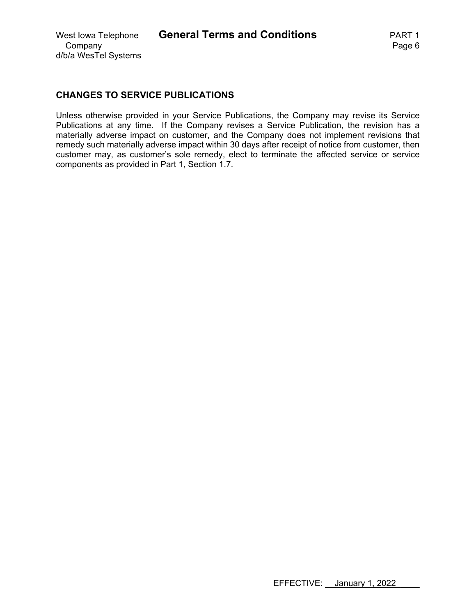# **CHANGES TO SERVICE PUBLICATIONS**

Unless otherwise provided in your Service Publications, the Company may revise its Service Publications at any time. If the Company revises a Service Publication, the revision has a materially adverse impact on customer, and the Company does not implement revisions that remedy such materially adverse impact within 30 days after receipt of notice from customer, then customer may, as customer's sole remedy, elect to terminate the affected service or service components as provided in Part 1, Section 1.7.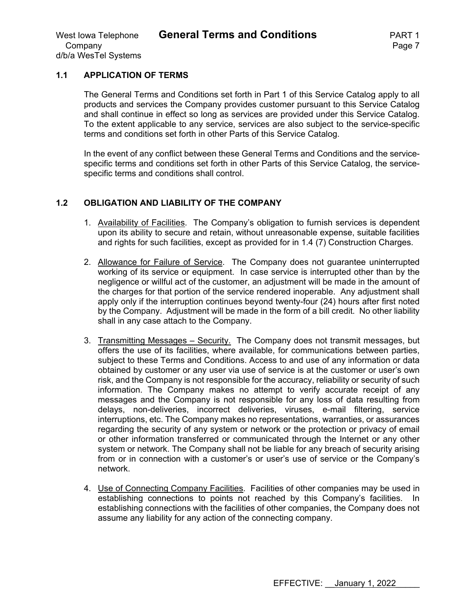#### **1.1 APPLICATION OF TERMS**

The General Terms and Conditions set forth in Part 1 of this Service Catalog apply to all products and services the Company provides customer pursuant to this Service Catalog and shall continue in effect so long as services are provided under this Service Catalog. To the extent applicable to any service, services are also subject to the service-specific terms and conditions set forth in other Parts of this Service Catalog.

In the event of any conflict between these General Terms and Conditions and the servicespecific terms and conditions set forth in other Parts of this Service Catalog, the servicespecific terms and conditions shall control.

#### **1.2 OBLIGATION AND LIABILITY OF THE COMPANY**

- 1. Availability of Facilities. The Company's obligation to furnish services is dependent upon its ability to secure and retain, without unreasonable expense, suitable facilities and rights for such facilities, except as provided for in 1.4 (7) Construction Charges.
- 2. Allowance for Failure of Service. The Company does not guarantee uninterrupted working of its service or equipment. In case service is interrupted other than by the negligence or willful act of the customer, an adjustment will be made in the amount of the charges for that portion of the service rendered inoperable. Any adjustment shall apply only if the interruption continues beyond twenty-four (24) hours after first noted by the Company. Adjustment will be made in the form of a bill credit. No other liability shall in any case attach to the Company.
- 3. Transmitting Messages Security. The Company does not transmit messages, but offers the use of its facilities, where available, for communications between parties, subject to these Terms and Conditions. Access to and use of any information or data obtained by customer or any user via use of service is at the customer or user's own risk, and the Company is not responsible for the accuracy, reliability or security of such information. The Company makes no attempt to verify accurate receipt of any messages and the Company is not responsible for any loss of data resulting from delays, non-deliveries, incorrect deliveries, viruses, e-mail filtering, service interruptions, etc. The Company makes no representations, warranties, or assurances regarding the security of any system or network or the protection or privacy of email or other information transferred or communicated through the Internet or any other system or network. The Company shall not be liable for any breach of security arising from or in connection with a customer's or user's use of service or the Company's network.
- 4. Use of Connecting Company Facilities. Facilities of other companies may be used in establishing connections to points not reached by this Company's facilities. In establishing connections with the facilities of other companies, the Company does not assume any liability for any action of the connecting company.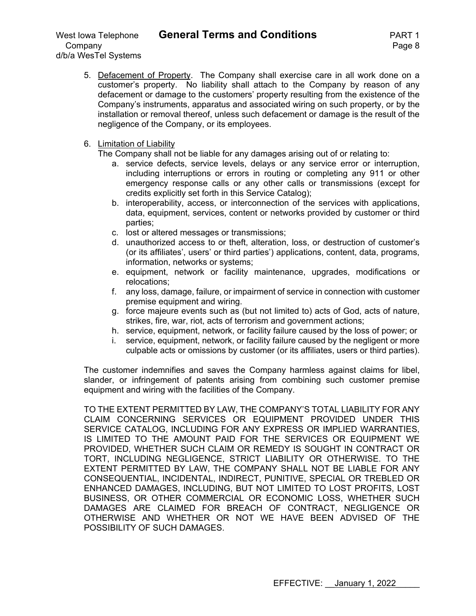Company **Page 8** d/b/a WesTel Systems

5. Defacement of Property. The Company shall exercise care in all work done on a customer's property. No liability shall attach to the Company by reason of any defacement or damage to the customers' property resulting from the existence of the Company's instruments, apparatus and associated wiring on such property, or by the installation or removal thereof, unless such defacement or damage is the result of the negligence of the Company, or its employees.

#### 6. Limitation of Liability

The Company shall not be liable for any damages arising out of or relating to:

- a. service defects, service levels, delays or any service error or interruption, including interruptions or errors in routing or completing any 911 or other emergency response calls or any other calls or transmissions (except for credits explicitly set forth in this Service Catalog);
- b. interoperability, access, or interconnection of the services with applications, data, equipment, services, content or networks provided by customer or third parties;
- c. lost or altered messages or transmissions;
- d. unauthorized access to or theft, alteration, loss, or destruction of customer's (or its affiliates', users' or third parties') applications, content, data, programs, information, networks or systems;
- e. equipment, network or facility maintenance, upgrades, modifications or relocations;
- f. any loss, damage, failure, or impairment of service in connection with customer premise equipment and wiring.
- g. force majeure events such as (but not limited to) acts of God, acts of nature, strikes, fire, war, riot, acts of terrorism and government actions;
- h. service, equipment, network, or facility failure caused by the loss of power; or
- i. service, equipment, network, or facility failure caused by the negligent or more culpable acts or omissions by customer (or its affiliates, users or third parties).

The customer indemnifies and saves the Company harmless against claims for libel, slander, or infringement of patents arising from combining such customer premise equipment and wiring with the facilities of the Company.

TO THE EXTENT PERMITTED BY LAW, THE COMPANY'S TOTAL LIABILITY FOR ANY CLAIM CONCERNING SERVICES OR EQUIPMENT PROVIDED UNDER THIS SERVICE CATALOG, INCLUDING FOR ANY EXPRESS OR IMPLIED WARRANTIES, IS LIMITED TO THE AMOUNT PAID FOR THE SERVICES OR EQUIPMENT WE PROVIDED, WHETHER SUCH CLAIM OR REMEDY IS SOUGHT IN CONTRACT OR TORT, INCLUDING NEGLIGENCE, STRICT LIABILITY OR OTHERWISE. TO THE EXTENT PERMITTED BY LAW, THE COMPANY SHALL NOT BE LIABLE FOR ANY CONSEQUENTIAL, INCIDENTAL, INDIRECT, PUNITIVE, SPECIAL OR TREBLED OR ENHANCED DAMAGES, INCLUDING, BUT NOT LIMITED TO LOST PROFITS, LOST BUSINESS, OR OTHER COMMERCIAL OR ECONOMIC LOSS, WHETHER SUCH DAMAGES ARE CLAIMED FOR BREACH OF CONTRACT, NEGLIGENCE OR OTHERWISE AND WHETHER OR NOT WE HAVE BEEN ADVISED OF THE POSSIBILITY OF SUCH DAMAGES.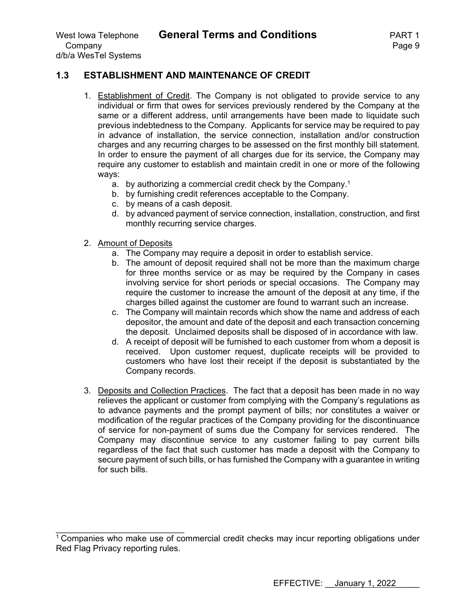# **1.3 ESTABLISHMENT AND MAINTENANCE OF CREDIT**

- 1. Establishment of Credit. The Company is not obligated to provide service to any individual or firm that owes for services previously rendered by the Company at the same or a different address, until arrangements have been made to liquidate such previous indebtedness to the Company. Applicants for service may be required to pay in advance of installation, the service connection, installation and/or construction charges and any recurring charges to be assessed on the first monthly bill statement. In order to ensure the payment of all charges due for its service, the Company may require any customer to establish and maintain credit in one or more of the following ways:
	- a. by authorizing a commercial credit check by the Company.<sup>1</sup>
	- b. by furnishing credit references acceptable to the Company.
	- c. by means of a cash deposit.
	- d. by advanced payment of service connection, installation, construction, and first monthly recurring service charges.
- 2. Amount of Deposits

 $\mathcal{L}_\text{max}$  , where  $\mathcal{L}_\text{max}$  is the set of the set of the set of the set of the set of the set of the set of the set of the set of the set of the set of the set of the set of the set of the set of the set of the se

- a. The Company may require a deposit in order to establish service.
- b. The amount of deposit required shall not be more than the maximum charge for three months service or as may be required by the Company in cases involving service for short periods or special occasions. The Company may require the customer to increase the amount of the deposit at any time, if the charges billed against the customer are found to warrant such an increase.
- c. The Company will maintain records which show the name and address of each depositor, the amount and date of the deposit and each transaction concerning the deposit. Unclaimed deposits shall be disposed of in accordance with law.
- d. A receipt of deposit will be furnished to each customer from whom a deposit is received. Upon customer request, duplicate receipts will be provided to customers who have lost their receipt if the deposit is substantiated by the Company records.
- 3. Deposits and Collection Practices. The fact that a deposit has been made in no way relieves the applicant or customer from complying with the Company's regulations as to advance payments and the prompt payment of bills; nor constitutes a waiver or modification of the regular practices of the Company providing for the discontinuance of service for non-payment of sums due the Company for services rendered. The Company may discontinue service to any customer failing to pay current bills regardless of the fact that such customer has made a deposit with the Company to secure payment of such bills, or has furnished the Company with a guarantee in writing for such bills.

 $1$  Companies who make use of commercial credit checks may incur reporting obligations under Red Flag Privacy reporting rules.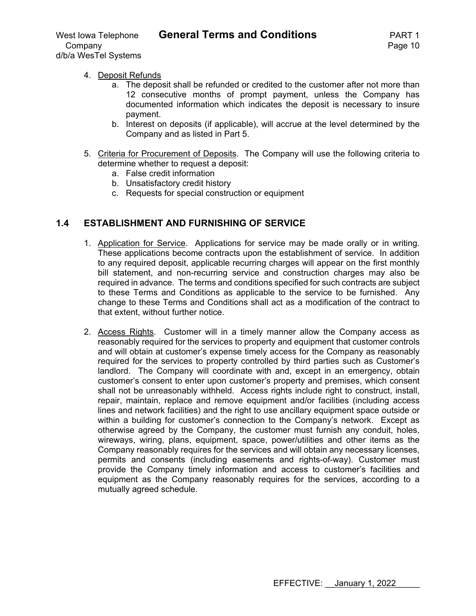# West Iowa Telephone **General Terms and Conditions** PART 1

#### 4. Deposit Refunds

- a. The deposit shall be refunded or credited to the customer after not more than 12 consecutive months of prompt payment, unless the Company has documented information which indicates the deposit is necessary to insure payment.
- b. Interest on deposits (if applicable), will accrue at the level determined by the Company and as listed in Part 5.
- 5. Criteria for Procurement of Deposits. The Company will use the following criteria to determine whether to request a deposit:
	- a. False credit information
	- b. Unsatisfactory credit history
	- c. Requests for special construction or equipment

# **1.4 ESTABLISHMENT AND FURNISHING OF SERVICE**

- 1. Application for Service. Applications for service may be made orally or in writing. These applications become contracts upon the establishment of service. In addition to any required deposit, applicable recurring charges will appear on the first monthly bill statement, and non-recurring service and construction charges may also be required in advance. The terms and conditions specified for such contracts are subject to these Terms and Conditions as applicable to the service to be furnished. Any change to these Terms and Conditions shall act as a modification of the contract to that extent, without further notice.
- 2. Access Rights. Customer will in a timely manner allow the Company access as reasonably required for the services to property and equipment that customer controls and will obtain at customer's expense timely access for the Company as reasonably required for the services to property controlled by third parties such as Customer's landlord. The Company will coordinate with and, except in an emergency, obtain customer's consent to enter upon customer's property and premises, which consent shall not be unreasonably withheld. Access rights include right to construct, install, repair, maintain, replace and remove equipment and/or facilities (including access lines and network facilities) and the right to use ancillary equipment space outside or within a building for customer's connection to the Company's network. Except as otherwise agreed by the Company, the customer must furnish any conduit, holes, wireways, wiring, plans, equipment, space, power/utilities and other items as the Company reasonably requires for the services and will obtain any necessary licenses, permits and consents (including easements and rights-of-way). Customer must provide the Company timely information and access to customer's facilities and equipment as the Company reasonably requires for the services, according to a mutually agreed schedule.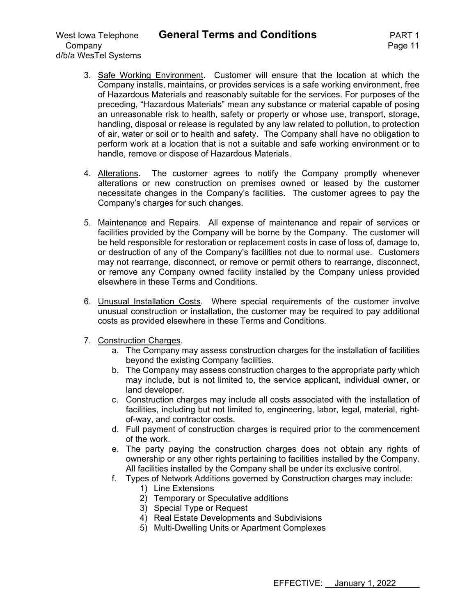3. Safe Working Environment. Customer will ensure that the location at which the Company installs, maintains, or provides services is a safe working environment, free of Hazardous Materials and reasonably suitable for the services. For purposes of the preceding, "Hazardous Materials" mean any substance or material capable of posing an unreasonable risk to health, safety or property or whose use, transport, storage, handling, disposal or release is regulated by any law related to pollution, to protection of air, water or soil or to health and safety. The Company shall have no obligation to perform work at a location that is not a suitable and safe working environment or to handle, remove or dispose of Hazardous Materials.

- 4. Alterations. The customer agrees to notify the Company promptly whenever alterations or new construction on premises owned or leased by the customer necessitate changes in the Company's facilities. The customer agrees to pay the Company's charges for such changes.
- 5. Maintenance and Repairs. All expense of maintenance and repair of services or facilities provided by the Company will be borne by the Company. The customer will be held responsible for restoration or replacement costs in case of loss of, damage to, or destruction of any of the Company's facilities not due to normal use. Customers may not rearrange, disconnect, or remove or permit others to rearrange, disconnect, or remove any Company owned facility installed by the Company unless provided elsewhere in these Terms and Conditions.
- 6. Unusual Installation Costs. Where special requirements of the customer involve unusual construction or installation, the customer may be required to pay additional costs as provided elsewhere in these Terms and Conditions.
- 7. Construction Charges.
	- a. The Company may assess construction charges for the installation of facilities beyond the existing Company facilities.
	- b. The Company may assess construction charges to the appropriate party which may include, but is not limited to, the service applicant, individual owner, or land developer.
	- c. Construction charges may include all costs associated with the installation of facilities, including but not limited to, engineering, labor, legal, material, rightof-way, and contractor costs.
	- d. Full payment of construction charges is required prior to the commencement of the work.
	- e. The party paying the construction charges does not obtain any rights of ownership or any other rights pertaining to facilities installed by the Company. All facilities installed by the Company shall be under its exclusive control.
	- f. Types of Network Additions governed by Construction charges may include:
		- 1) Line Extensions
		- 2) Temporary or Speculative additions
		- 3) Special Type or Request
		- 4) Real Estate Developments and Subdivisions
		- 5) Multi-Dwelling Units or Apartment Complexes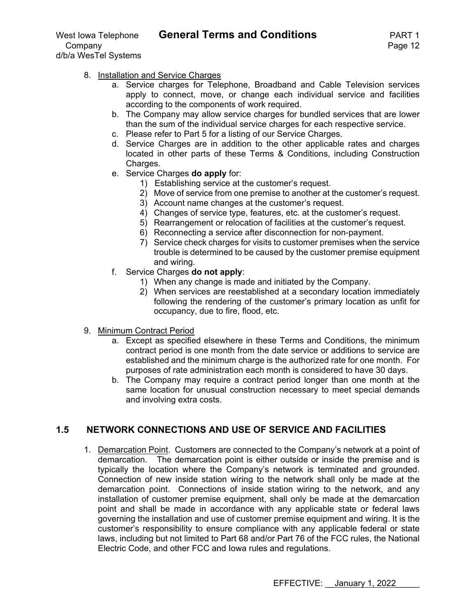- 8. Installation and Service Charges
	- a. Service charges for Telephone, Broadband and Cable Television services apply to connect, move, or change each individual service and facilities according to the components of work required.
	- b. The Company may allow service charges for bundled services that are lower than the sum of the individual service charges for each respective service.
	- c. Please refer to Part 5 for a listing of our Service Charges.
	- d. Service Charges are in addition to the other applicable rates and charges located in other parts of these Terms & Conditions, including Construction Charges.
	- e. Service Charges **do apply** for:
		- 1) Establishing service at the customer's request.
		- 2) Move of service from one premise to another at the customer's request.
		- 3) Account name changes at the customer's request.
		- 4) Changes of service type, features, etc. at the customer's request.
		- 5) Rearrangement or relocation of facilities at the customer's request.
		- 6) Reconnecting a service after disconnection for non-payment.
		- 7) Service check charges for visits to customer premises when the service trouble is determined to be caused by the customer premise equipment and wiring.
	- f. Service Charges **do not apply**:
		- 1) When any change is made and initiated by the Company.
		- 2) When services are reestablished at a secondary location immediately following the rendering of the customer's primary location as unfit for occupancy, due to fire, flood, etc.
- 9. Minimum Contract Period
	- a. Except as specified elsewhere in these Terms and Conditions, the minimum contract period is one month from the date service or additions to service are established and the minimum charge is the authorized rate for one month. For purposes of rate administration each month is considered to have 30 days.
	- b. The Company may require a contract period longer than one month at the same location for unusual construction necessary to meet special demands and involving extra costs.

# **1.5 NETWORK CONNECTIONS AND USE OF SERVICE AND FACILITIES**

1. Demarcation Point. Customers are connected to the Company's network at a point of demarcation. The demarcation point is either outside or inside the premise and is typically the location where the Company's network is terminated and grounded. Connection of new inside station wiring to the network shall only be made at the demarcation point. Connections of inside station wiring to the network, and any installation of customer premise equipment, shall only be made at the demarcation point and shall be made in accordance with any applicable state or federal laws governing the installation and use of customer premise equipment and wiring. It is the customer's responsibility to ensure compliance with any applicable federal or state laws, including but not limited to Part 68 and/or Part 76 of the FCC rules, the National Electric Code, and other FCC and Iowa rules and regulations.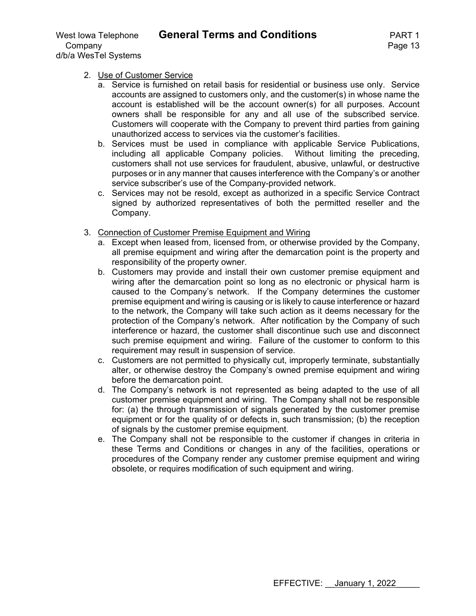Company **Page 13** d/b/a WesTel Systems

#### 2. Use of Customer Service

- a. Service is furnished on retail basis for residential or business use only. Service accounts are assigned to customers only, and the customer(s) in whose name the account is established will be the account owner(s) for all purposes. Account owners shall be responsible for any and all use of the subscribed service. Customers will cooperate with the Company to prevent third parties from gaining unauthorized access to services via the customer's facilities.
- b. Services must be used in compliance with applicable Service Publications, including all applicable Company policies. Without limiting the preceding, customers shall not use services for fraudulent, abusive, unlawful, or destructive purposes or in any manner that causes interference with the Company's or another service subscriber's use of the Company-provided network.
- c. Services may not be resold, except as authorized in a specific Service Contract signed by authorized representatives of both the permitted reseller and the Company.
- 3. Connection of Customer Premise Equipment and Wiring
	- a. Except when leased from, licensed from, or otherwise provided by the Company, all premise equipment and wiring after the demarcation point is the property and responsibility of the property owner.
	- b. Customers may provide and install their own customer premise equipment and wiring after the demarcation point so long as no electronic or physical harm is caused to the Company's network. If the Company determines the customer premise equipment and wiring is causing or is likely to cause interference or hazard to the network, the Company will take such action as it deems necessary for the protection of the Company's network. After notification by the Company of such interference or hazard, the customer shall discontinue such use and disconnect such premise equipment and wiring. Failure of the customer to conform to this requirement may result in suspension of service.
	- c. Customers are not permitted to physically cut, improperly terminate, substantially alter, or otherwise destroy the Company's owned premise equipment and wiring before the demarcation point.
	- d. The Company's network is not represented as being adapted to the use of all customer premise equipment and wiring. The Company shall not be responsible for: (a) the through transmission of signals generated by the customer premise equipment or for the quality of or defects in, such transmission; (b) the reception of signals by the customer premise equipment.
	- e. The Company shall not be responsible to the customer if changes in criteria in these Terms and Conditions or changes in any of the facilities, operations or procedures of the Company render any customer premise equipment and wiring obsolete, or requires modification of such equipment and wiring.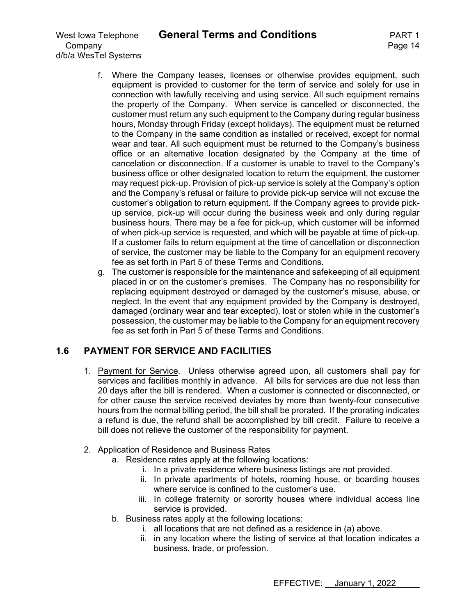Company **Page 14** d/b/a WesTel Systems

- f. Where the Company leases, licenses or otherwise provides equipment, such equipment is provided to customer for the term of service and solely for use in connection with lawfully receiving and using service. All such equipment remains the property of the Company. When service is cancelled or disconnected, the customer must return any such equipment to the Company during regular business hours, Monday through Friday (except holidays). The equipment must be returned to the Company in the same condition as installed or received, except for normal wear and tear. All such equipment must be returned to the Company's business office or an alternative location designated by the Company at the time of cancelation or disconnection. If a customer is unable to travel to the Company's business office or other designated location to return the equipment, the customer may request pick-up. Provision of pick-up service is solely at the Company's option and the Company's refusal or failure to provide pick-up service will not excuse the customer's obligation to return equipment. If the Company agrees to provide pickup service, pick-up will occur during the business week and only during regular business hours. There may be a fee for pick-up, which customer will be informed of when pick-up service is requested, and which will be payable at time of pick-up. If a customer fails to return equipment at the time of cancellation or disconnection of service, the customer may be liable to the Company for an equipment recovery fee as set forth in Part 5 of these Terms and Conditions.
- g. The customer is responsible for the maintenance and safekeeping of all equipment placed in or on the customer's premises. The Company has no responsibility for replacing equipment destroyed or damaged by the customer's misuse, abuse, or neglect. In the event that any equipment provided by the Company is destroyed, damaged (ordinary wear and tear excepted), lost or stolen while in the customer's possession, the customer may be liable to the Company for an equipment recovery fee as set forth in Part 5 of these Terms and Conditions.

# **1.6 PAYMENT FOR SERVICE AND FACILITIES**

1. Payment for Service. Unless otherwise agreed upon, all customers shall pay for services and facilities monthly in advance. All bills for services are due not less than 20 days after the bill is rendered. When a customer is connected or disconnected, or for other cause the service received deviates by more than twenty-four consecutive hours from the normal billing period, the bill shall be prorated. If the prorating indicates a refund is due, the refund shall be accomplished by bill credit. Failure to receive a bill does not relieve the customer of the responsibility for payment.

# 2. Application of Residence and Business Rates

- a. Residence rates apply at the following locations:
	- i. In a private residence where business listings are not provided.
	- ii. In private apartments of hotels, rooming house, or boarding houses where service is confined to the customer's use.
	- iii. In college fraternity or sorority houses where individual access line service is provided.
- b. Business rates apply at the following locations:
	- i. all locations that are not defined as a residence in (a) above.
	- ii. in any location where the listing of service at that location indicates a business, trade, or profession.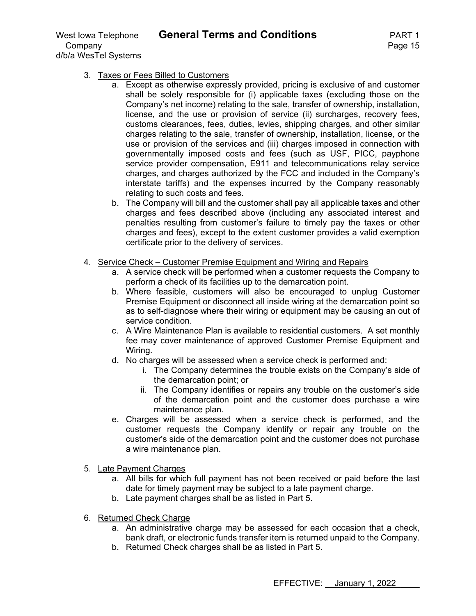Company **Page 15** d/b/a WesTel Systems

- 3. Taxes or Fees Billed to Customers
	- a. Except as otherwise expressly provided, pricing is exclusive of and customer shall be solely responsible for (i) applicable taxes (excluding those on the Company's net income) relating to the sale, transfer of ownership, installation, license, and the use or provision of service (ii) surcharges, recovery fees, customs clearances, fees, duties, levies, shipping charges, and other similar charges relating to the sale, transfer of ownership, installation, license, or the use or provision of the services and (iii) charges imposed in connection with governmentally imposed costs and fees (such as USF, PICC, payphone service provider compensation, E911 and telecommunications relay service charges, and charges authorized by the FCC and included in the Company's interstate tariffs) and the expenses incurred by the Company reasonably relating to such costs and fees.
	- b. The Company will bill and the customer shall pay all applicable taxes and other charges and fees described above (including any associated interest and penalties resulting from customer's failure to timely pay the taxes or other charges and fees), except to the extent customer provides a valid exemption certificate prior to the delivery of services.
- 4. Service Check Customer Premise Equipment and Wiring and Repairs
	- a. A service check will be performed when a customer requests the Company to perform a check of its facilities up to the demarcation point.
	- b. Where feasible, customers will also be encouraged to unplug Customer Premise Equipment or disconnect all inside wiring at the demarcation point so as to self-diagnose where their wiring or equipment may be causing an out of service condition.
	- c. A Wire Maintenance Plan is available to residential customers. A set monthly fee may cover maintenance of approved Customer Premise Equipment and Wiring.
	- d. No charges will be assessed when a service check is performed and:
		- i. The Company determines the trouble exists on the Company's side of the demarcation point; or
		- ii. The Company identifies or repairs any trouble on the customer's side of the demarcation point and the customer does purchase a wire maintenance plan.
	- e. Charges will be assessed when a service check is performed, and the customer requests the Company identify or repair any trouble on the customer's side of the demarcation point and the customer does not purchase a wire maintenance plan.
- 5. Late Payment Charges
	- a. All bills for which full payment has not been received or paid before the last date for timely payment may be subject to a late payment charge.
	- b. Late payment charges shall be as listed in Part 5.
- 6. Returned Check Charge
	- a. An administrative charge may be assessed for each occasion that a check, bank draft, or electronic funds transfer item is returned unpaid to the Company.
	- b. Returned Check charges shall be as listed in Part 5.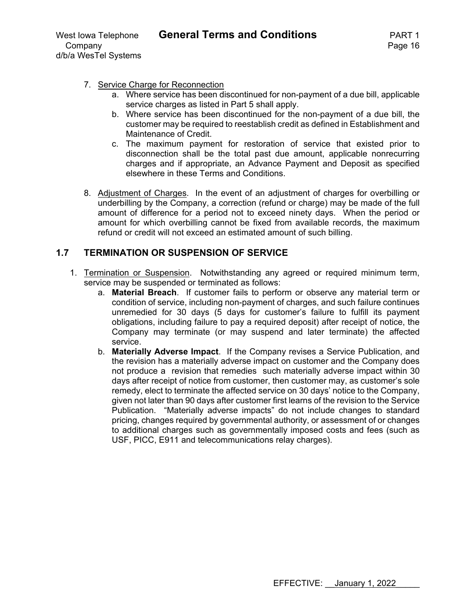#### 7. Service Charge for Reconnection

- a. Where service has been discontinued for non-payment of a due bill, applicable service charges as listed in Part 5 shall apply.
- b. Where service has been discontinued for the non-payment of a due bill, the customer may be required to reestablish credit as defined in Establishment and Maintenance of Credit.
- c. The maximum payment for restoration of service that existed prior to disconnection shall be the total past due amount, applicable nonrecurring charges and if appropriate, an Advance Payment and Deposit as specified elsewhere in these Terms and Conditions.
- 8. Adjustment of Charges. In the event of an adjustment of charges for overbilling or underbilling by the Company, a correction (refund or charge) may be made of the full amount of difference for a period not to exceed ninety days. When the period or amount for which overbilling cannot be fixed from available records, the maximum refund or credit will not exceed an estimated amount of such billing.

# **1.7 TERMINATION OR SUSPENSION OF SERVICE**

- 1. Termination or Suspension. Notwithstanding any agreed or required minimum term, service may be suspended or terminated as follows:
	- a. **Material Breach**. If customer fails to perform or observe any material term or condition of service, including non-payment of charges, and such failure continues unremedied for 30 days (5 days for customer's failure to fulfill its payment obligations, including failure to pay a required deposit) after receipt of notice, the Company may terminate (or may suspend and later terminate) the affected service.
	- b. **Materially Adverse Impact**. If the Company revises a Service Publication, and the revision has a materially adverse impact on customer and the Company does not produce a revision that remedies such materially adverse impact within 30 days after receipt of notice from customer, then customer may, as customer's sole remedy, elect to terminate the affected service on 30 days' notice to the Company, given not later than 90 days after customer first learns of the revision to the Service Publication. "Materially adverse impacts" do not include changes to standard pricing, changes required by governmental authority, or assessment of or changes to additional charges such as governmentally imposed costs and fees (such as USF, PICC, E911 and telecommunications relay charges).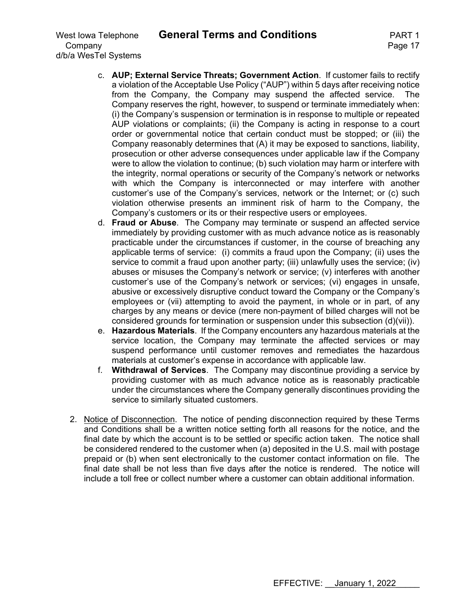Company **Page 17** d/b/a WesTel Systems

- c. **AUP; External Service Threats; Government Action**. If customer fails to rectify a violation of the Acceptable Use Policy ("AUP") within 5 days after receiving notice from the Company, the Company may suspend the affected service. The Company reserves the right, however, to suspend or terminate immediately when: (i) the Company's suspension or termination is in response to multiple or repeated AUP violations or complaints; (ii) the Company is acting in response to a court order or governmental notice that certain conduct must be stopped; or (iii) the Company reasonably determines that (A) it may be exposed to sanctions, liability, prosecution or other adverse consequences under applicable law if the Company were to allow the violation to continue; (b) such violation may harm or interfere with the integrity, normal operations or security of the Company's network or networks with which the Company is interconnected or may interfere with another customer's use of the Company's services, network or the Internet; or (c) such violation otherwise presents an imminent risk of harm to the Company, the Company's customers or its or their respective users or employees.
- d. **Fraud or Abuse**. The Company may terminate or suspend an affected service immediately by providing customer with as much advance notice as is reasonably practicable under the circumstances if customer, in the course of breaching any applicable terms of service: (i) commits a fraud upon the Company; (ii) uses the service to commit a fraud upon another party; (iii) unlawfully uses the service; (iv) abuses or misuses the Company's network or service; (v) interferes with another customer's use of the Company's network or services; (vi) engages in unsafe, abusive or excessively disruptive conduct toward the Company or the Company's employees or (vii) attempting to avoid the payment, in whole or in part, of any charges by any means or device (mere non-payment of billed charges will not be considered grounds for termination or suspension under this subsection (d)(vii)).
- e. **Hazardous Materials**. If the Company encounters any hazardous materials at the service location, the Company may terminate the affected services or may suspend performance until customer removes and remediates the hazardous materials at customer's expense in accordance with applicable law.
- f. **Withdrawal of Services**. The Company may discontinue providing a service by providing customer with as much advance notice as is reasonably practicable under the circumstances where the Company generally discontinues providing the service to similarly situated customers.
- 2. Notice of Disconnection. The notice of pending disconnection required by these Terms and Conditions shall be a written notice setting forth all reasons for the notice, and the final date by which the account is to be settled or specific action taken. The notice shall be considered rendered to the customer when (a) deposited in the U.S. mail with postage prepaid or (b) when sent electronically to the customer contact information on file. The final date shall be not less than five days after the notice is rendered. The notice will include a toll free or collect number where a customer can obtain additional information.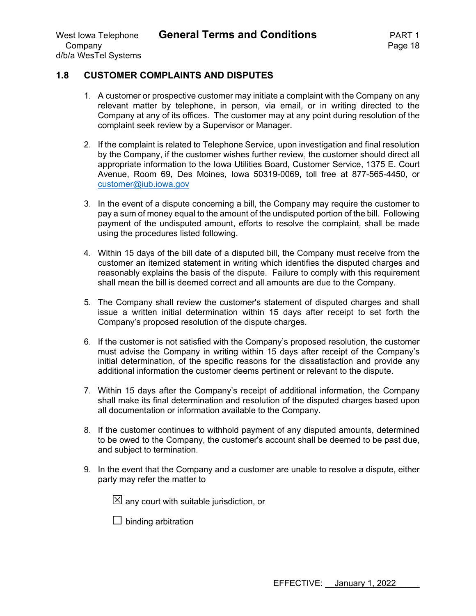#### **1.8 CUSTOMER COMPLAINTS AND DISPUTES**

- 1. A customer or prospective customer may initiate a complaint with the Company on any relevant matter by telephone, in person, via email, or in writing directed to the Company at any of its offices. The customer may at any point during resolution of the complaint seek review by a Supervisor or Manager.
- 2. If the complaint is related to Telephone Service, upon investigation and final resolution by the Company, if the customer wishes further review, the customer should direct all appropriate information to the Iowa Utilities Board, Customer Service, 1375 E. Court Avenue, Room 69, Des Moines, Iowa 50319-0069, toll free at 877-565-4450, or customer@iub.iowa.gov
- 3. In the event of a dispute concerning a bill, the Company may require the customer to pay a sum of money equal to the amount of the undisputed portion of the bill. Following payment of the undisputed amount, efforts to resolve the complaint, shall be made using the procedures listed following.
- 4. Within 15 days of the bill date of a disputed bill, the Company must receive from the customer an itemized statement in writing which identifies the disputed charges and reasonably explains the basis of the dispute. Failure to comply with this requirement shall mean the bill is deemed correct and all amounts are due to the Company.
- 5. The Company shall review the customer's statement of disputed charges and shall issue a written initial determination within 15 days after receipt to set forth the Company's proposed resolution of the dispute charges.
- 6. If the customer is not satisfied with the Company's proposed resolution, the customer must advise the Company in writing within 15 days after receipt of the Company's initial determination, of the specific reasons for the dissatisfaction and provide any additional information the customer deems pertinent or relevant to the dispute.
- 7. Within 15 days after the Company's receipt of additional information, the Company shall make its final determination and resolution of the disputed charges based upon all documentation or information available to the Company.
- 8. If the customer continues to withhold payment of any disputed amounts, determined to be owed to the Company, the customer's account shall be deemed to be past due, and subject to termination.
- 9. In the event that the Company and a customer are unable to resolve a dispute, either party may refer the matter to

 $\boxtimes$  any court with suitable jurisdiction, or

 $\Box$  binding arbitration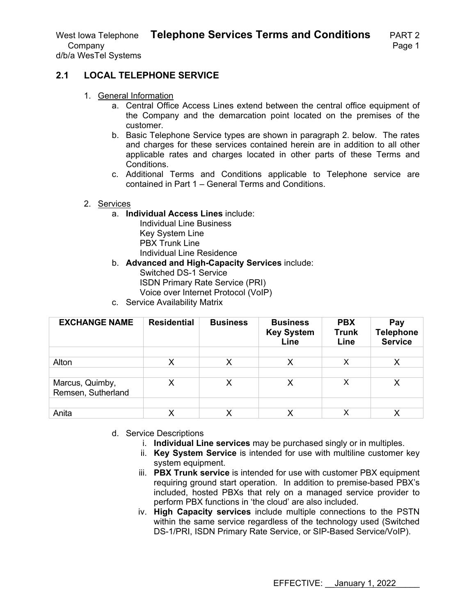d/b/a WesTel Systems

# **2.1 LOCAL TELEPHONE SERVICE**

- 1. General Information
	- a. Central Office Access Lines extend between the central office equipment of the Company and the demarcation point located on the premises of the customer.
	- b. Basic Telephone Service types are shown in paragraph 2. below. The rates and charges for these services contained herein are in addition to all other applicable rates and charges located in other parts of these Terms and Conditions.
	- c. Additional Terms and Conditions applicable to Telephone service are contained in Part 1 – General Terms and Conditions.

#### 2. Services

- a. **Individual Access Lines** include:
	- Individual Line Business Key System Line PBX Trunk Line Individual Line Residence
- b. **Advanced and High-Capacity Services** include: Switched DS-1 Service ISDN Primary Rate Service (PRI) Voice over Internet Protocol (VoIP)
- c. Service Availability Matrix

| <b>EXCHANGE NAME</b> | <b>Residential</b> | <b>Business</b> | <b>Business</b><br><b>Key System</b><br>Line | <b>PBX</b><br><b>Trunk</b><br>Line | Pay<br><b>Telephone</b><br><b>Service</b> |
|----------------------|--------------------|-----------------|----------------------------------------------|------------------------------------|-------------------------------------------|
|                      |                    |                 |                                              |                                    |                                           |
| Alton                | х                  | Х               | X                                            | X                                  | Х                                         |
|                      |                    |                 |                                              |                                    |                                           |
| Marcus, Quimby,      | Χ                  |                 | Χ                                            | x                                  | Χ                                         |
| Remsen, Sutherland   |                    |                 |                                              |                                    |                                           |
|                      |                    |                 |                                              |                                    |                                           |
| Anita                | Χ                  |                 | Х                                            | х                                  | х                                         |

- d. Service Descriptions
	- i. **Individual Line services** may be purchased singly or in multiples.
	- ii. **Key System Service** is intended for use with multiline customer key system equipment.
	- iii. **PBX Trunk service** is intended for use with customer PBX equipment requiring ground start operation. In addition to premise-based PBX's included, hosted PBXs that rely on a managed service provider to perform PBX functions in 'the cloud' are also included.
	- iv. **High Capacity services** include multiple connections to the PSTN within the same service regardless of the technology used (Switched DS-1/PRI, ISDN Primary Rate Service, or SIP-Based Service/VoIP).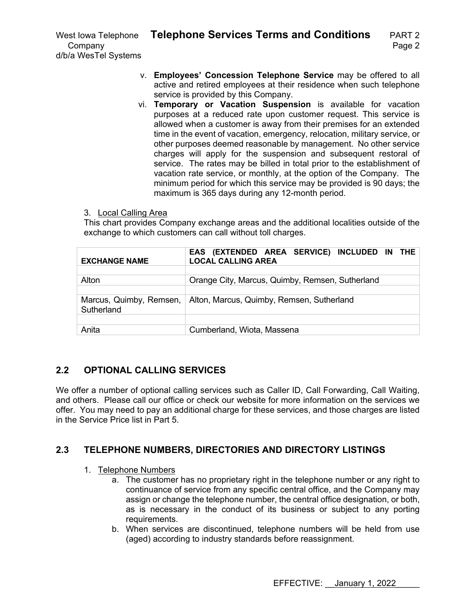d/b/a WesTel Systems

- v. **Employees' Concession Telephone Service** may be offered to all active and retired employees at their residence when such telephone service is provided by this Company.
- vi. **Temporary or Vacation Suspension** is available for vacation purposes at a reduced rate upon customer request. This service is allowed when a customer is away from their premises for an extended time in the event of vacation, emergency, relocation, military service, or other purposes deemed reasonable by management. No other service charges will apply for the suspension and subsequent restoral of service. The rates may be billed in total prior to the establishment of vacation rate service, or monthly, at the option of the Company. The minimum period for which this service may be provided is 90 days; the maximum is 365 days during any 12-month period.

#### 3. Local Calling Area

This chart provides Company exchange areas and the additional localities outside of the exchange to which customers can call without toll charges.

| <b>EXCHANGE NAME</b>                  | EAS (EXTENDED AREA SERVICE) INCLUDED IN THE<br><b>LOCAL CALLING AREA</b> |
|---------------------------------------|--------------------------------------------------------------------------|
| Alton                                 | Orange City, Marcus, Quimby, Remsen, Sutherland                          |
| Marcus, Quimby, Remsen,<br>Sutherland | Alton, Marcus, Quimby, Remsen, Sutherland                                |
| Anita                                 | Cumberland, Wiota, Massena                                               |

# **2.2 OPTIONAL CALLING SERVICES**

We offer a number of optional calling services such as Caller ID, Call Forwarding, Call Waiting, and others. Please call our office or check our website for more information on the services we offer. You may need to pay an additional charge for these services, and those charges are listed in the Service Price list in Part 5.

# **2.3 TELEPHONE NUMBERS, DIRECTORIES AND DIRECTORY LISTINGS**

#### 1. Telephone Numbers

- a. The customer has no proprietary right in the telephone number or any right to continuance of service from any specific central office, and the Company may assign or change the telephone number, the central office designation, or both, as is necessary in the conduct of its business or subject to any porting requirements.
- b. When services are discontinued, telephone numbers will be held from use (aged) according to industry standards before reassignment.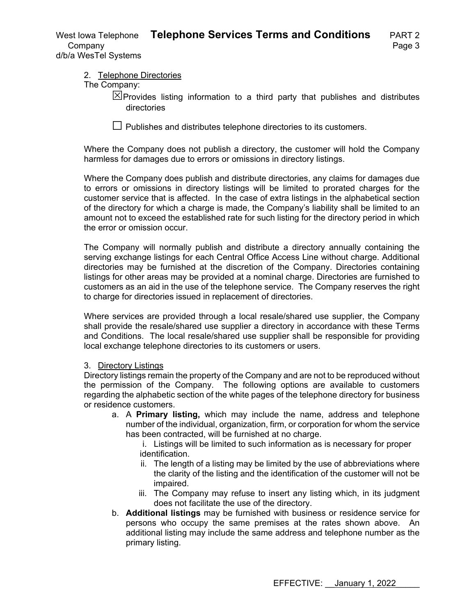#### 2. Telephone Directories

The Company:

 $\boxtimes$  Provides listing information to a third party that publishes and distributes directories

 $\Box$  Publishes and distributes telephone directories to its customers.

Where the Company does not publish a directory, the customer will hold the Company harmless for damages due to errors or omissions in directory listings.

Where the Company does publish and distribute directories, any claims for damages due to errors or omissions in directory listings will be limited to prorated charges for the customer service that is affected. In the case of extra listings in the alphabetical section of the directory for which a charge is made, the Company's liability shall be limited to an amount not to exceed the established rate for such listing for the directory period in which the error or omission occur.

The Company will normally publish and distribute a directory annually containing the serving exchange listings for each Central Office Access Line without charge. Additional directories may be furnished at the discretion of the Company. Directories containing listings for other areas may be provided at a nominal charge. Directories are furnished to customers as an aid in the use of the telephone service. The Company reserves the right to charge for directories issued in replacement of directories.

Where services are provided through a local resale/shared use supplier, the Company shall provide the resale/shared use supplier a directory in accordance with these Terms and Conditions. The local resale/shared use supplier shall be responsible for providing local exchange telephone directories to its customers or users.

#### 3. Directory Listings

Directory listings remain the property of the Company and are not to be reproduced without the permission of the Company. The following options are available to customers regarding the alphabetic section of the white pages of the telephone directory for business or residence customers.

a. A **Primary listing,** which may include the name, address and telephone number of the individual, organization, firm, or corporation for whom the service has been contracted, will be furnished at no charge.

i. Listings will be limited to such information as is necessary for proper identification.

- ii. The length of a listing may be limited by the use of abbreviations where the clarity of the listing and the identification of the customer will not be impaired.
- iii. The Company may refuse to insert any listing which, in its judgment does not facilitate the use of the directory.
- b. **Additional listings** may be furnished with business or residence service for persons who occupy the same premises at the rates shown above. An additional listing may include the same address and telephone number as the primary listing.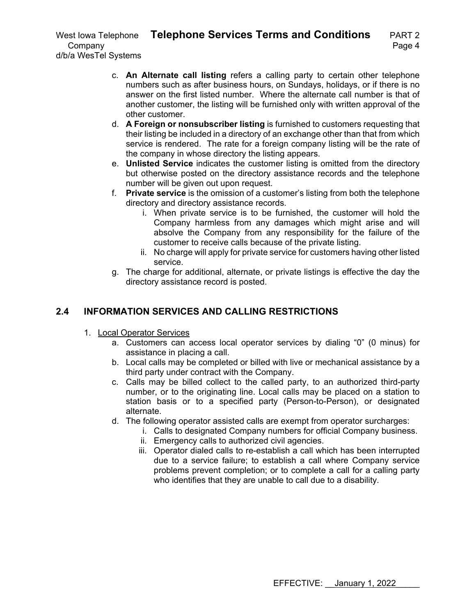- c. **An Alternate call listing** refers a calling party to certain other telephone numbers such as after business hours, on Sundays, holidays, or if there is no answer on the first listed number. Where the alternate call number is that of another customer, the listing will be furnished only with written approval of the other customer.
- d. **A Foreign or nonsubscriber listing** is furnished to customers requesting that their listing be included in a directory of an exchange other than that from which service is rendered. The rate for a foreign company listing will be the rate of the company in whose directory the listing appears.
- e. **Unlisted Service** indicates the customer listing is omitted from the directory but otherwise posted on the directory assistance records and the telephone number will be given out upon request.
- f. **Private service** is the omission of a customer's listing from both the telephone directory and directory assistance records.
	- i. When private service is to be furnished, the customer will hold the Company harmless from any damages which might arise and will absolve the Company from any responsibility for the failure of the customer to receive calls because of the private listing.
	- ii. No charge will apply for private service for customers having other listed service.
- g. The charge for additional, alternate, or private listings is effective the day the directory assistance record is posted.

# **2.4 INFORMATION SERVICES AND CALLING RESTRICTIONS**

- 1. Local Operator Services
	- a. Customers can access local operator services by dialing "0" (0 minus) for assistance in placing a call.
	- b. Local calls may be completed or billed with live or mechanical assistance by a third party under contract with the Company.
	- c. Calls may be billed collect to the called party, to an authorized third-party number, or to the originating line. Local calls may be placed on a station to station basis or to a specified party (Person-to-Person), or designated alternate.
	- d. The following operator assisted calls are exempt from operator surcharges:
		- i. Calls to designated Company numbers for official Company business.
		- ii. Emergency calls to authorized civil agencies.
		- iii. Operator dialed calls to re-establish a call which has been interrupted due to a service failure; to establish a call where Company service problems prevent completion; or to complete a call for a calling party who identifies that they are unable to call due to a disability.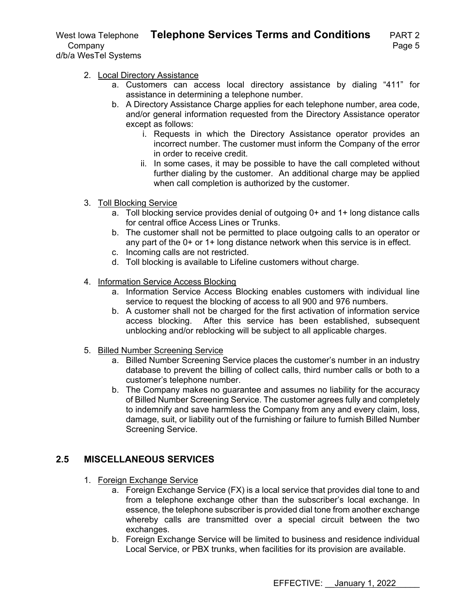West Iowa Telephone **Telephone Services Terms and Conditions** PART 2 Company **Page 5** d/b/a WesTel Systems

- 2. Local Directory Assistance
	- a. Customers can access local directory assistance by dialing "411" for assistance in determining a telephone number.
	- b. A Directory Assistance Charge applies for each telephone number, area code, and/or general information requested from the Directory Assistance operator except as follows:
		- i. Requests in which the Directory Assistance operator provides an incorrect number. The customer must inform the Company of the error in order to receive credit.
		- ii. In some cases, it may be possible to have the call completed without further dialing by the customer. An additional charge may be applied when call completion is authorized by the customer.
- 3. Toll Blocking Service
	- a. Toll blocking service provides denial of outgoing 0+ and 1+ long distance calls for central office Access Lines or Trunks.
	- b. The customer shall not be permitted to place outgoing calls to an operator or any part of the 0+ or 1+ long distance network when this service is in effect.
	- c. Incoming calls are not restricted.
	- d. Toll blocking is available to Lifeline customers without charge.
- 4. Information Service Access Blocking
	- a. Information Service Access Blocking enables customers with individual line service to request the blocking of access to all 900 and 976 numbers.
	- b. A customer shall not be charged for the first activation of information service access blocking. After this service has been established, subsequent unblocking and/or reblocking will be subject to all applicable charges.
- 5. Billed Number Screening Service
	- a. Billed Number Screening Service places the customer's number in an industry database to prevent the billing of collect calls, third number calls or both to a customer's telephone number.
	- b. The Company makes no guarantee and assumes no liability for the accuracy of Billed Number Screening Service. The customer agrees fully and completely to indemnify and save harmless the Company from any and every claim, loss, damage, suit, or liability out of the furnishing or failure to furnish Billed Number Screening Service.

# **2.5 MISCELLANEOUS SERVICES**

- 1. Foreign Exchange Service
	- a. Foreign Exchange Service (FX) is a local service that provides dial tone to and from a telephone exchange other than the subscriber's local exchange. In essence, the telephone subscriber is provided dial tone from another exchange whereby calls are transmitted over a special circuit between the two exchanges.
	- b. Foreign Exchange Service will be limited to business and residence individual Local Service, or PBX trunks, when facilities for its provision are available.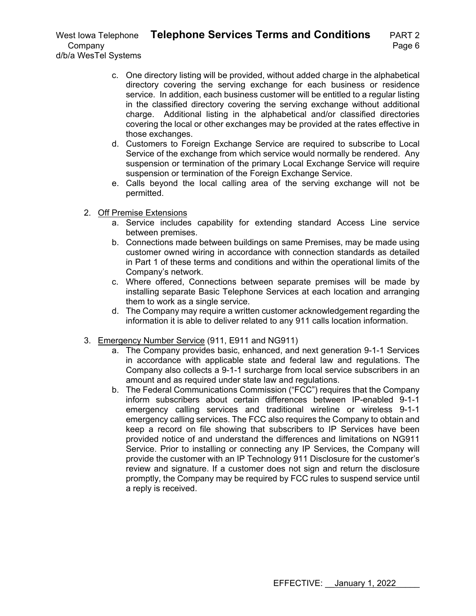c. One directory listing will be provided, without added charge in the alphabetical directory covering the serving exchange for each business or residence service. In addition, each business customer will be entitled to a regular listing in the classified directory covering the serving exchange without additional charge. Additional listing in the alphabetical and/or classified directories covering the local or other exchanges may be provided at the rates effective in those exchanges.

- d. Customers to Foreign Exchange Service are required to subscribe to Local Service of the exchange from which service would normally be rendered. Any suspension or termination of the primary Local Exchange Service will require suspension or termination of the Foreign Exchange Service.
- e. Calls beyond the local calling area of the serving exchange will not be permitted.
- 2. Off Premise Extensions
	- a. Service includes capability for extending standard Access Line service between premises.
	- b. Connections made between buildings on same Premises, may be made using customer owned wiring in accordance with connection standards as detailed in Part 1 of these terms and conditions and within the operational limits of the Company's network.
	- c. Where offered, Connections between separate premises will be made by installing separate Basic Telephone Services at each location and arranging them to work as a single service.
	- d. The Company may require a written customer acknowledgement regarding the information it is able to deliver related to any 911 calls location information.
- 3. Emergency Number Service (911, E911 and NG911)
	- a. The Company provides basic, enhanced, and next generation 9-1-1 Services in accordance with applicable state and federal law and regulations. The Company also collects a 9-1-1 surcharge from local service subscribers in an amount and as required under state law and regulations.
	- b. The Federal Communications Commission ("FCC") requires that the Company inform subscribers about certain differences between IP-enabled 9-1-1 emergency calling services and traditional wireline or wireless 9-1-1 emergency calling services. The FCC also requires the Company to obtain and keep a record on file showing that subscribers to IP Services have been provided notice of and understand the differences and limitations on NG911 Service. Prior to installing or connecting any IP Services, the Company will provide the customer with an IP Technology 911 Disclosure for the customer's review and signature. If a customer does not sign and return the disclosure promptly, the Company may be required by FCC rules to suspend service until a reply is received.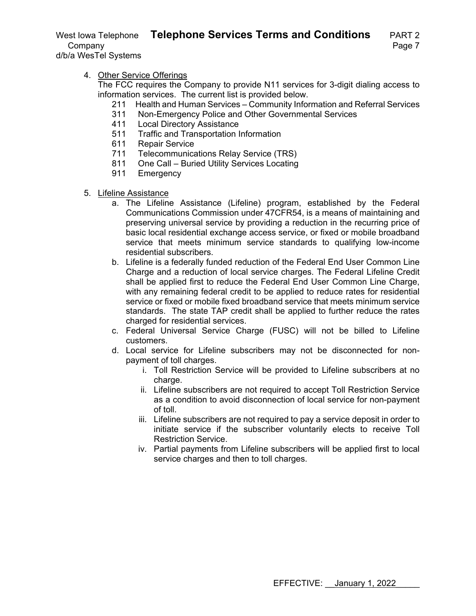d/b/a WesTel Systems

4. Other Service Offerings

The FCC requires the Company to provide N11 services for 3-digit dialing access to information services. The current list is provided below.

- 211 Health and Human Services Community Information and Referral Services
- 311 Non-Emergency Police and Other Governmental Services<br>411 Local Directory Assistance
- **Local Directory Assistance**
- 511 Traffic and Transportation Information
- 611 Repair Service
- 711 Telecommunications Relay Service (TRS)
- 811 One Call Buried Utility Services Locating<br>911 Emergency
- Emergency
- 5. Lifeline Assistance
	- a. The Lifeline Assistance (Lifeline) program, established by the Federal Communications Commission under 47CFR54, is a means of maintaining and preserving universal service by providing a reduction in the recurring price of basic local residential exchange access service, or fixed or mobile broadband service that meets minimum service standards to qualifying low-income residential subscribers.
	- b. Lifeline is a federally funded reduction of the Federal End User Common Line Charge and a reduction of local service charges. The Federal Lifeline Credit shall be applied first to reduce the Federal End User Common Line Charge, with any remaining federal credit to be applied to reduce rates for residential service or fixed or mobile fixed broadband service that meets minimum service standards. The state TAP credit shall be applied to further reduce the rates charged for residential services.
	- c. Federal Universal Service Charge (FUSC) will not be billed to Lifeline customers.
	- d. Local service for Lifeline subscribers may not be disconnected for nonpayment of toll charges.
		- i. Toll Restriction Service will be provided to Lifeline subscribers at no charge.
		- ii. Lifeline subscribers are not required to accept Toll Restriction Service as a condition to avoid disconnection of local service for non-payment of toll.
		- iii. Lifeline subscribers are not required to pay a service deposit in order to initiate service if the subscriber voluntarily elects to receive Toll Restriction Service.
		- iv. Partial payments from Lifeline subscribers will be applied first to local service charges and then to toll charges.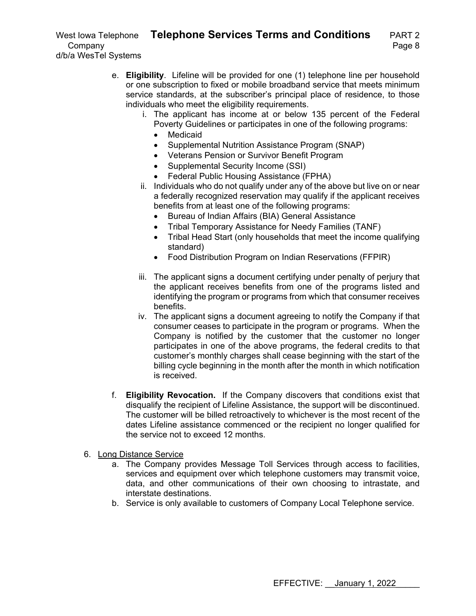e. **Eligibility**. Lifeline will be provided for one (1) telephone line per household or one subscription to fixed or mobile broadband service that meets minimum service standards, at the subscriber's principal place of residence, to those individuals who meet the eligibility requirements.

- i. The applicant has income at or below 135 percent of the Federal Poverty Guidelines or participates in one of the following programs:
	- Medicaid
	- Supplemental Nutrition Assistance Program (SNAP)
	- Veterans Pension or Survivor Benefit Program
	- Supplemental Security Income (SSI)
	- Federal Public Housing Assistance (FPHA)
- ii. Individuals who do not qualify under any of the above but live on or near a federally recognized reservation may qualify if the applicant receives benefits from at least one of the following programs:
	- Bureau of Indian Affairs (BIA) General Assistance
	- Tribal Temporary Assistance for Needy Families (TANF)
	- Tribal Head Start (only households that meet the income qualifying standard)
	- Food Distribution Program on Indian Reservations (FFPIR)
- iii. The applicant signs a document certifying under penalty of perjury that the applicant receives benefits from one of the programs listed and identifying the program or programs from which that consumer receives benefits.
- iv. The applicant signs a document agreeing to notify the Company if that consumer ceases to participate in the program or programs. When the Company is notified by the customer that the customer no longer participates in one of the above programs, the federal credits to that customer's monthly charges shall cease beginning with the start of the billing cycle beginning in the month after the month in which notification is received.
- f. **Eligibility Revocation.** If the Company discovers that conditions exist that disqualify the recipient of Lifeline Assistance, the support will be discontinued. The customer will be billed retroactively to whichever is the most recent of the dates Lifeline assistance commenced or the recipient no longer qualified for the service not to exceed 12 months.
- 6. Long Distance Service
	- a. The Company provides Message Toll Services through access to facilities, services and equipment over which telephone customers may transmit voice, data, and other communications of their own choosing to intrastate, and interstate destinations.
	- b. Service is only available to customers of Company Local Telephone service.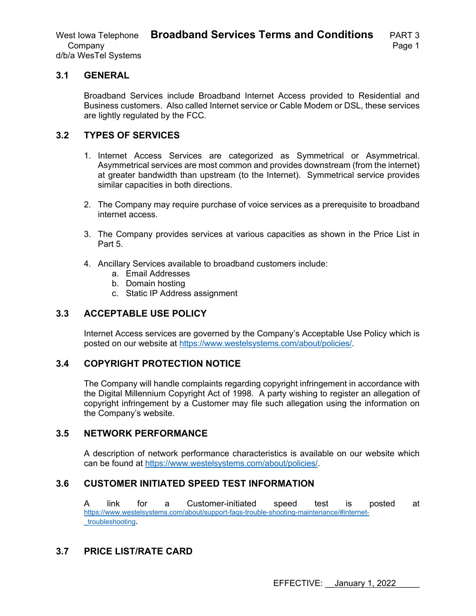West Iowa Telephone **Broadband Services Terms and Conditions** PART 3 Company **Page 1** d/b/a WesTel Systems

#### **3.1 GENERAL**

Broadband Services include Broadband Internet Access provided to Residential and Business customers. Also called Internet service or Cable Modem or DSL, these services are lightly regulated by the FCC.

#### **3.2 TYPES OF SERVICES**

- 1. Internet Access Services are categorized as Symmetrical or Asymmetrical. Asymmetrical services are most common and provides downstream (from the internet) at greater bandwidth than upstream (to the Internet). Symmetrical service provides similar capacities in both directions.
- 2. The Company may require purchase of voice services as a prerequisite to broadband internet access.
- 3. The Company provides services at various capacities as shown in the Price List in Part 5.
- 4. Ancillary Services available to broadband customers include:
	- a. Email Addresses
	- b. Domain hosting
	- c. Static IP Address assignment

# **3.3 ACCEPTABLE USE POLICY**

Internet Access services are governed by the Company's Acceptable Use Policy which is posted on our website at https://www.westelsystems.com/about/policies/.

#### **3.4 COPYRIGHT PROTECTION NOTICE**

The Company will handle complaints regarding copyright infringement in accordance with the Digital Millennium Copyright Act of 1998. A party wishing to register an allegation of copyright infringement by a Customer may file such allegation using the information on the Company's website.

#### **3.5 NETWORK PERFORMANCE**

A description of network performance characteristics is available on our website which can be found at https://www.westelsystems.com/about/policies/.

#### **3.6 CUSTOMER INITIATED SPEED TEST INFORMATION**

A link for a Customer-initiated speed test is posted at https://www.westelsystems.com/about/support-faqs-trouble-shooting-maintenance/#internet troubleshooting.

# **3.7 PRICE LIST/RATE CARD**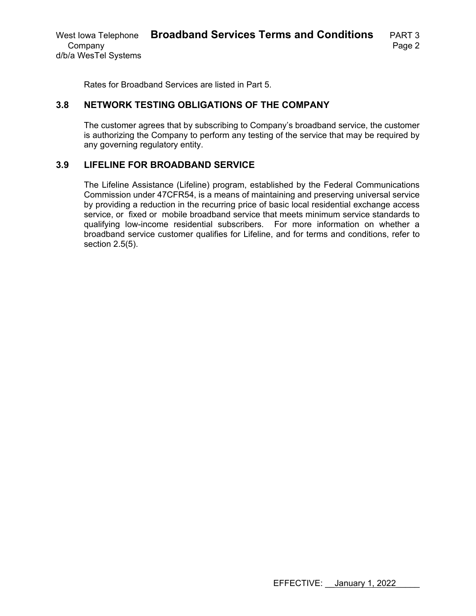Rates for Broadband Services are listed in Part 5.

#### **3.8 NETWORK TESTING OBLIGATIONS OF THE COMPANY**

The customer agrees that by subscribing to Company's broadband service, the customer is authorizing the Company to perform any testing of the service that may be required by any governing regulatory entity.

### **3.9 LIFELINE FOR BROADBAND SERVICE**

The Lifeline Assistance (Lifeline) program, established by the Federal Communications Commission under 47CFR54, is a means of maintaining and preserving universal service by providing a reduction in the recurring price of basic local residential exchange access service, or fixed or mobile broadband service that meets minimum service standards to qualifying low-income residential subscribers. For more information on whether a broadband service customer qualifies for Lifeline, and for terms and conditions, refer to section 2.5(5).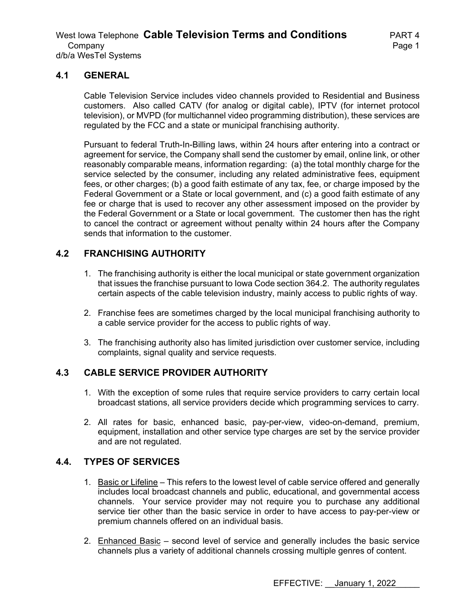#### **4.1 GENERAL**

Cable Television Service includes video channels provided to Residential and Business customers. Also called CATV (for analog or digital cable), IPTV (for internet protocol television), or MVPD (for multichannel video programming distribution), these services are regulated by the FCC and a state or municipal franchising authority.

Pursuant to federal Truth-In-Billing laws, within 24 hours after entering into a contract or agreement for service, the Company shall send the customer by email, online link, or other reasonably comparable means, information regarding: (a) the total monthly charge for the service selected by the consumer, including any related administrative fees, equipment fees, or other charges; (b) a good faith estimate of any tax, fee, or charge imposed by the Federal Government or a State or local government, and (c) a good faith estimate of any fee or charge that is used to recover any other assessment imposed on the provider by the Federal Government or a State or local government. The customer then has the right to cancel the contract or agreement without penalty within 24 hours after the Company sends that information to the customer.

# **4.2 FRANCHISING AUTHORITY**

- 1. The franchising authority is either the local municipal or state government organization that issues the franchise pursuant to Iowa Code section 364.2. The authority regulates certain aspects of the cable television industry, mainly access to public rights of way.
- 2. Franchise fees are sometimes charged by the local municipal franchising authority to a cable service provider for the access to public rights of way.
- 3. The franchising authority also has limited jurisdiction over customer service, including complaints, signal quality and service requests.

# **4.3 CABLE SERVICE PROVIDER AUTHORITY**

- 1. With the exception of some rules that require service providers to carry certain local broadcast stations, all service providers decide which programming services to carry.
- 2. All rates for basic, enhanced basic, pay-per-view, video-on-demand, premium, equipment, installation and other service type charges are set by the service provider and are not regulated.

# **4.4. TYPES OF SERVICES**

- 1. Basic or Lifeline This refers to the lowest level of cable service offered and generally includes local broadcast channels and public, educational, and governmental access channels. Your service provider may not require you to purchase any additional service tier other than the basic service in order to have access to pay-per-view or premium channels offered on an individual basis.
- 2. Enhanced Basic second level of service and generally includes the basic service channels plus a variety of additional channels crossing multiple genres of content.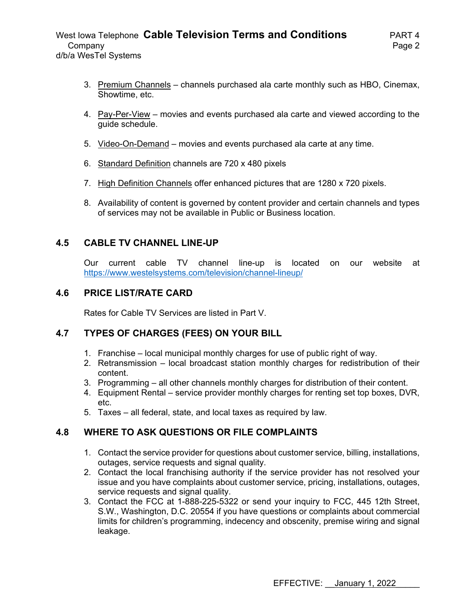- 3. Premium Channels channels purchased ala carte monthly such as HBO, Cinemax, Showtime, etc.
- 4. Pay-Per-View movies and events purchased ala carte and viewed according to the guide schedule.
- 5. Video-On-Demand movies and events purchased ala carte at any time.
- 6. Standard Definition channels are 720 x 480 pixels
- 7. High Definition Channels offer enhanced pictures that are 1280 x 720 pixels.
- 8. Availability of content is governed by content provider and certain channels and types of services may not be available in Public or Business location.

# **4.5 CABLE TV CHANNEL LINE-UP**

Our current cable TV channel line-up is located on our website at https://www.westelsystems.com/television/channel-lineup/

# **4.6 PRICE LIST/RATE CARD**

Rates for Cable TV Services are listed in Part V.

# **4.7 TYPES OF CHARGES (FEES) ON YOUR BILL**

- 1. Franchise local municipal monthly charges for use of public right of way.
- 2. Retransmission local broadcast station monthly charges for redistribution of their content.
- 3. Programming all other channels monthly charges for distribution of their content.
- 4. Equipment Rental service provider monthly charges for renting set top boxes, DVR, etc.
- 5. Taxes all federal, state, and local taxes as required by law.

# **4.8 WHERE TO ASK QUESTIONS OR FILE COMPLAINTS**

- 1. Contact the service provider for questions about customer service, billing, installations, outages, service requests and signal quality.
- 2. Contact the local franchising authority if the service provider has not resolved your issue and you have complaints about customer service, pricing, installations, outages, service requests and signal quality.
- 3. Contact the FCC at 1-888-225-5322 or send your inquiry to FCC, 445 12th Street, S.W., Washington, D.C. 20554 if you have questions or complaints about commercial limits for children's programming, indecency and obscenity, premise wiring and signal leakage.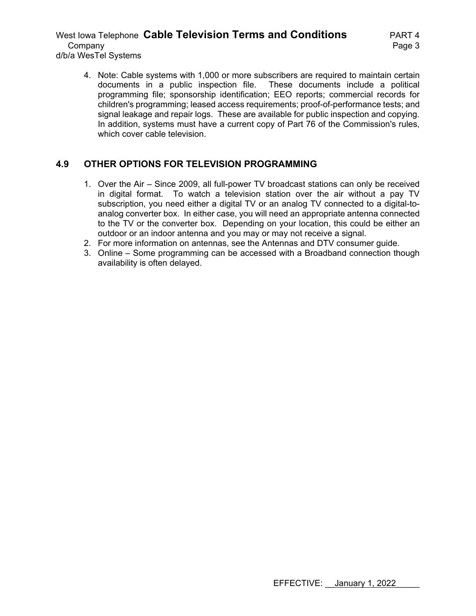#### West Iowa Telephone **Cable Television Terms and Conditions** PART 4 Company **Page 3** d/b/a WesTel Systems

4. Note: Cable systems with 1,000 or more subscribers are required to maintain certain documents in a public inspection file. These documents include a political programming file; sponsorship identification; EEO reports; commercial records for children's programming; leased access requirements; proof-of-performance tests; and signal leakage and repair logs. These are available for public inspection and copying. In addition, systems must have a current copy of Part 76 of the Commission's rules, which cover cable television.

# **4.9 OTHER OPTIONS FOR TELEVISION PROGRAMMING**

- 1. Over the Air Since 2009, all full-power TV broadcast stations can only be received in digital format. To watch a television station over the air without a pay TV subscription, you need either a digital TV or an analog TV connected to a digital-toanalog converter box. In either case, you will need an appropriate antenna connected to the TV or the converter box. Depending on your location, this could be either an outdoor or an indoor antenna and you may or may not receive a signal.
- 2. For more information on antennas, see the Antennas and DTV consumer guide.
- 3. Online Some programming can be accessed with a Broadband connection though availability is often delayed.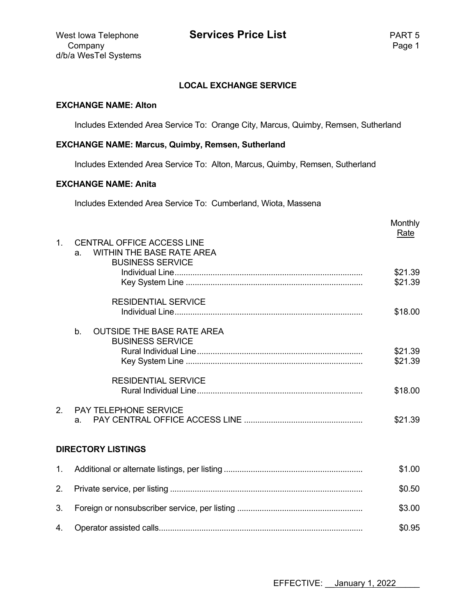#### **LOCAL EXCHANGE SERVICE**

#### **EXCHANGE NAME: Alton**

Includes Extended Area Service To: Orange City, Marcus, Quimby, Remsen, Sutherland

#### **EXCHANGE NAME: Marcus, Quimby, Remsen, Sutherland**

Includes Extended Area Service To: Alton, Marcus, Quimby, Remsen, Sutherland

#### **EXCHANGE NAME: Anita**

Includes Extended Area Service To: Cumberland, Wiota, Massena

|               |                                                                                                        | Monthly<br>Rate    |
|---------------|--------------------------------------------------------------------------------------------------------|--------------------|
| $\mathbf{1}$  | <b>CENTRAL OFFICE ACCESS LINE</b><br><b>WITHIN THE BASE RATE AREA</b><br>a.<br><b>BUSINESS SERVICE</b> |                    |
|               |                                                                                                        | \$21.39<br>\$21.39 |
|               | <b>RESIDENTIAL SERVICE</b>                                                                             | \$18.00            |
|               | b.<br><b>OUTSIDE THE BASE RATE AREA</b><br><b>BUSINESS SERVICE</b>                                     |                    |
|               |                                                                                                        | \$21.39<br>\$21.39 |
|               | <b>RESIDENTIAL SERVICE</b>                                                                             | \$18.00            |
| $\mathcal{P}$ | <b>PAY TELEPHONE SERVICE</b><br>a.                                                                     | \$21.39            |
|               | <b>DIRECTORY LISTINGS</b>                                                                              |                    |
| $1_{-}$       |                                                                                                        | \$1.00             |
| 2.            |                                                                                                        | \$0.50             |
| 3.            |                                                                                                        | \$3.00             |
| 4.            |                                                                                                        | \$0.95             |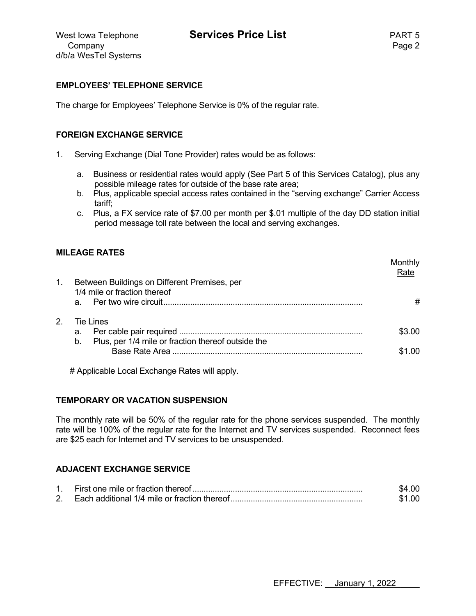monthly controlled the controlled to the controlled to the controlled to the controlled to the controlled to controlled the controlled to controlled the controlled to controlled the controlled to controlled the controlled

#### **EMPLOYEES' TELEPHONE SERVICE**

The charge for Employees' Telephone Service is 0% of the regular rate.

#### **FOREIGN EXCHANGE SERVICE**

- 1. Serving Exchange (Dial Tone Provider) rates would be as follows:
	- a. Business or residential rates would apply (See Part 5 of this Services Catalog), plus any possible mileage rates for outside of the base rate area;
	- b. Plus, applicable special access rates contained in the "serving exchange" Carrier Access tariff;
	- c. Plus, a FX service rate of \$7.00 per month per \$.01 multiple of the day DD station initial period message toll rate between the local and serving exchanges.

#### **MILEAGE RATES**

|               |                                                          | <b>MONTAIN</b><br>Rate |
|---------------|----------------------------------------------------------|------------------------|
| 1.            | Between Buildings on Different Premises, per             |                        |
|               | 1/4 mile or fraction thereof                             |                        |
|               |                                                          | #                      |
| $\mathcal{P}$ | Tie Lines                                                |                        |
|               | а.                                                       | ዳ3 በበ                  |
|               | Plus, per 1/4 mile or fraction thereof outside the<br>b. |                        |
|               |                                                          | ደ1 በበ                  |

# Applicable Local Exchange Rates will apply.

#### **TEMPORARY OR VACATION SUSPENSION**

The monthly rate will be 50% of the regular rate for the phone services suspended. The monthly rate will be 100% of the regular rate for the Internet and TV services suspended. Reconnect fees are \$25 each for Internet and TV services to be unsuspended.

# **ADJACENT EXCHANGE SERVICE**

|  | \$4.00 |
|--|--------|
|  | \$1.00 |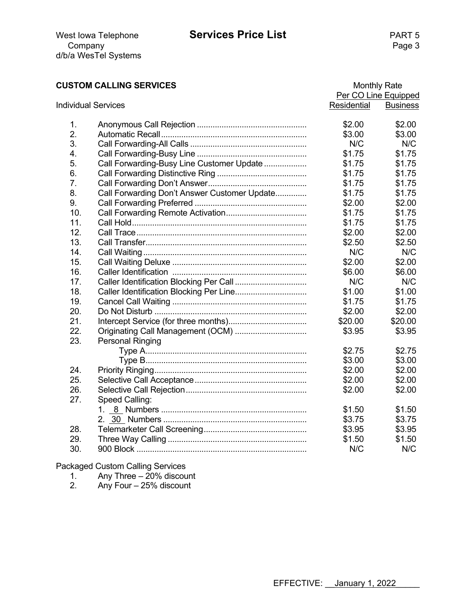# **CUSTOM CALLING SERVICES** Monthly Rate

|     |                                              |             | Per CO Line Equipped |
|-----|----------------------------------------------|-------------|----------------------|
|     | <b>Individual Services</b>                   | Residential | <b>Business</b>      |
| 1.  |                                              | \$2.00      | \$2.00               |
| 2.  |                                              | \$3.00      | \$3.00               |
| 3.  |                                              | N/C         | N/C                  |
| 4.  |                                              | \$1.75      | \$1.75               |
| 5.  | Call Forwarding-Busy Line Customer Update    | \$1.75      | \$1.75               |
| 6.  |                                              | \$1.75      | \$1.75               |
| 7.  |                                              | \$1.75      | \$1.75               |
| 8.  | Call Forwarding Don't Answer Customer Update | \$1.75      | \$1.75               |
| 9.  |                                              | \$2.00      | \$2.00               |
| 10. |                                              | \$1.75      | \$1.75               |
| 11. |                                              | \$1.75      | \$1.75               |
| 12. |                                              | \$2.00      | \$2.00               |
| 13. |                                              | \$2.50      | \$2.50               |
| 14. |                                              | N/C         | N/C                  |
| 15. |                                              | \$2.00      | \$2.00               |
| 16. |                                              | \$6.00      | \$6.00               |
| 17. |                                              | N/C         | N/C                  |
| 18. |                                              | \$1.00      | \$1.00               |
| 19. |                                              | \$1.75      | \$1.75               |
| 20. |                                              | \$2.00      | \$2.00               |
| 21. |                                              | \$20.00     | \$20.00              |
| 22. |                                              | \$3.95      | \$3.95               |
| 23. | Personal Ringing                             |             |                      |
|     |                                              | \$2.75      | \$2.75               |
|     |                                              | \$3.00      | \$3.00               |
| 24. |                                              | \$2.00      | \$2.00               |
| 25. |                                              | \$2.00      | \$2.00               |
| 26. |                                              | \$2.00      | \$2.00               |
| 27. | Speed Calling:                               |             |                      |
|     |                                              | \$1.50      | \$1.50               |
|     |                                              | \$3.75      | \$3.75               |
| 28. |                                              | \$3.95      | \$3.95               |
| 29. |                                              | \$1.50      | \$1.50               |
| 30. |                                              | N/C         | N/C                  |

Packaged Custom Calling Services

1. Any Three – 20% discount

2. Any Four – 25% discount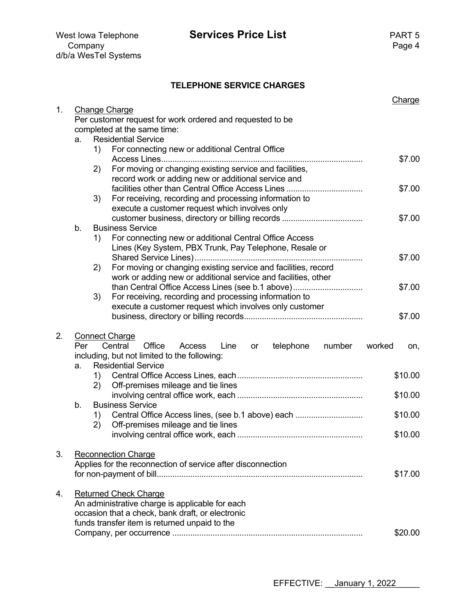|    |     |    | <b>TELEPHONE SERVICE CHARGES</b>                                                                           |        |               |
|----|-----|----|------------------------------------------------------------------------------------------------------------|--------|---------------|
|    |     |    |                                                                                                            |        | <b>Charge</b> |
| 1. |     |    | <b>Change Charge</b>                                                                                       |        |               |
|    |     |    | Per customer request for work ordered and requested to be<br>completed at the same time:                   |        |               |
|    | a.  |    | <b>Residential Service</b>                                                                                 |        |               |
|    |     | 1) | For connecting new or additional Central Office                                                            |        |               |
|    |     |    | Access Lines                                                                                               |        | \$7.00        |
|    |     | 2) | For moving or changing existing service and facilities,                                                    |        |               |
|    |     |    | record work or adding new or additional service and                                                        |        |               |
|    |     |    | facilities other than Central Office Access Lines                                                          |        | \$7.00        |
|    |     | 3) | For receiving, recording and processing information to                                                     |        |               |
|    |     |    | execute a customer request which involves only                                                             |        | \$7.00        |
|    | b.  |    | <b>Business Service</b>                                                                                    |        |               |
|    |     | 1) | For connecting new or additional Central Office Access                                                     |        |               |
|    |     |    | Lines (Key System, PBX Trunk, Pay Telephone, Resale or                                                     |        |               |
|    |     |    |                                                                                                            |        | \$7.00        |
|    |     | 2) | For moving or changing existing service and facilities, record                                             |        |               |
|    |     |    | work or adding new or additional service and facilities, other                                             |        |               |
|    |     |    | than Central Office Access Lines (see b.1 above)<br>For receiving, recording and processing information to |        | \$7.00        |
|    |     | 3) | execute a customer request which involves only customer                                                    |        |               |
|    |     |    |                                                                                                            |        | \$7.00        |
|    |     |    |                                                                                                            |        |               |
| 2. |     |    | <b>Connect Charge</b>                                                                                      |        |               |
|    | Per |    | Office<br>Central<br>Line<br>telephone<br>number<br>Access<br>or                                           | worked | on,           |
|    |     |    | including, but not limited to the following:<br><b>Residential Service</b>                                 |        |               |
|    | a.  | 1) |                                                                                                            |        | \$10.00       |
|    |     | 2) | Off-premises mileage and tie lines                                                                         |        |               |
|    |     |    |                                                                                                            |        | \$10.00       |
|    | b.  |    | <b>Business Service</b>                                                                                    |        |               |
|    |     | 1) | Central Office Access lines, (see b.1 above) each                                                          |        | \$10.00       |
|    |     | 2) | Off-premises mileage and tie lines                                                                         |        |               |
|    |     |    |                                                                                                            |        | \$10.00       |
| 3. |     |    | <b>Reconnection Charge</b>                                                                                 |        |               |
|    |     |    | Applies for the reconnection of service after disconnection                                                |        |               |
|    |     |    |                                                                                                            |        | \$17.00       |
|    |     |    |                                                                                                            |        |               |
| 4. |     |    | <b>Returned Check Charge</b>                                                                               |        |               |
|    |     |    | An administrative charge is applicable for each                                                            |        |               |
|    |     |    | occasion that a check, bank draft, or electronic<br>funds transfer item is returned unpaid to the          |        |               |
|    |     |    |                                                                                                            |        | \$20.00       |
|    |     |    |                                                                                                            |        |               |

**Services Price List** PART 5<br>Page 4

Company **Page 4** 

d/b/a WesTel Systems

EFFECTIVE: <u>January 1, 2022</u>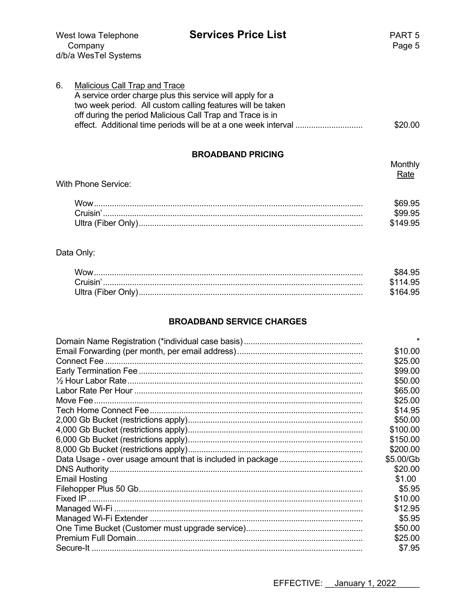| West lowa Telephone  |
|----------------------|
| Company              |
| d/b/a WesTel Systems |

| 6. | Malicious Call Trap and Trace                              |         |
|----|------------------------------------------------------------|---------|
|    | A service order charge plus this service will apply for a  |         |
|    | two week period. All custom calling features will be taken |         |
|    | off during the period Malicious Call Trap and Trace is in  |         |
|    |                                                            | \$20.00 |

#### **BROADBAND PRICING**

| 888888888888888<br>With Phone Service: |          |
|----------------------------------------|----------|
| Wow                                    |          |
|                                        | \$999.95 |
|                                        | \$149.95 |

# Data Only:

| Wow.     | \$84.95  |
|----------|----------|
| Cruisin' | \$114.95 |
|          | \$164.95 |

#### **BROADBAND SERVICE CHARGES**

|                      | $\star$   |
|----------------------|-----------|
|                      | \$10.00   |
|                      | \$25.00   |
|                      | \$99.00   |
|                      | \$50.00   |
|                      | \$65.00   |
|                      | \$25.00   |
|                      | \$14.95   |
|                      | \$50.00   |
|                      | \$100.00  |
|                      | \$150.00  |
|                      | \$200.00  |
|                      | \$5.00/Gb |
|                      | \$20.00   |
| <b>Email Hosting</b> | \$1.00    |
|                      | \$5.95    |
|                      | \$10.00   |
|                      | \$12.95   |
|                      | \$5.95    |
|                      | \$50.00   |
|                      | \$25.00   |
|                      | \$7.95    |

EFFECTIVE: January 1, 2022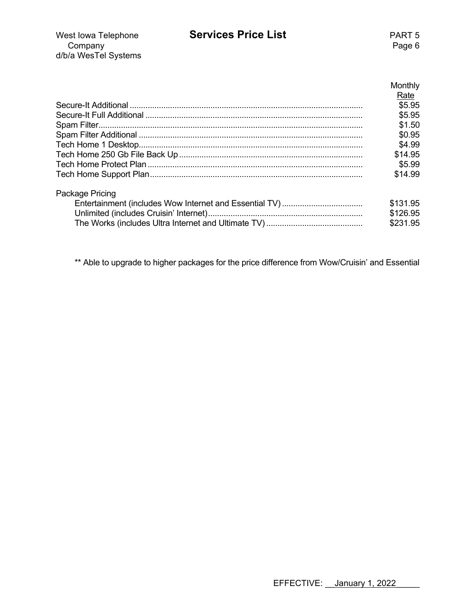| West lowa Telephone  | <b>Services Price List</b> | PART 5 |
|----------------------|----------------------------|--------|
| Company              |                            | Page 6 |
| d/b/a WesTel Systems |                            |        |

| Monthly            |
|--------------------|
|                    |
| <u>Rate</u>        |
| $\overline{$5.95}$ |
| \$5.95             |
| \$1.50             |
| \$0.95             |
| \$4.99             |
| \$14.95            |
| \$5.99             |
| \$14.99            |

| Package Pricing |  |
|-----------------|--|
|                 |  |

| \$131.95 |
|----------|
| \$126.95 |
| \$231.95 |

\*\* Able to upgrade to higher packages for the price difference from Wow/Cruisin' and Essential